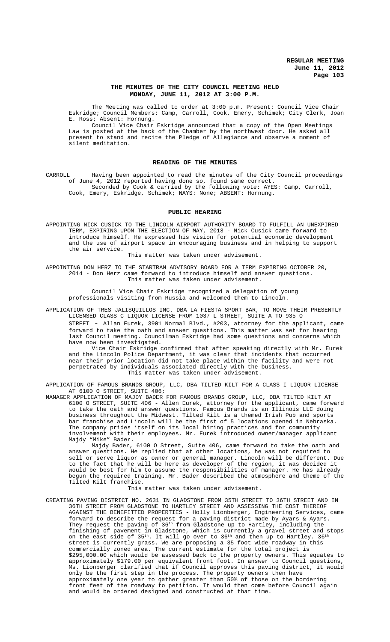## **THE MINUTES OF THE CITY COUNCIL MEETING HELD MONDAY, JUNE 11, 2012 AT 3:00 P.M.**

The Meeting was called to order at 3:00 p.m. Present: Council Vice Chair Eskridge; Council Members: Camp, Carroll, Cook, Emery, Schimek; City Clerk, Joan E. Ross; Absent: Hornung.

Council Vice Chair Eskridge announced that a copy of the Open Meetings Law is posted at the back of the Chamber by the northwest door. He asked all present to stand and recite the Pledge of Allegiance and observe a moment of .<br>silent meditation.

## **READING OF THE MINUTES**

CARROLL Having been appointed to read the minutes of the City Council proceedings of June 4, 2012 reported having done so, found same correct. Seconded by Cook & carried by the following vote: AYES: Camp, Carroll, Cook, Emery, Eskridge, Schimek; NAYS: None; ABSENT: Hornung.

### **PUBLIC HEARING**

APPOINTING NICK CUSICK TO THE LINCOLN AIRPORT AUTHORITY BOARD TO FULFILL AN UNEXPIRED TERM, EXPIRING UPON THE ELECTION OF MAY, 2013 - Nick Cusick came forward to introduce himself. He expressed his vision for potential economic development and the use of airport space in encouraging business and in helping to support the air service.

This matter was taken under advisement.

APPOINTING DON HERZ TO THE STARTRAN ADVISORY BOARD FOR A TERM EXPIRING OCTOBER 20, 2014 - Don Herz came forward to introduce himself and answer questions. This matter was taken under advisement.

Council Vice Chair Eskridge recognized a delegation of young professionals visiting from Russia and welcomed them to Lincoln.

APPLICATION OF TRES JALISQUILLOS INC. DBA LA FIESTA SPORT BAR, TO MOVE THEIR PRESENTLY LICENSED CLASS C LIQUOR LICENSE FROM 1037 L STREET, SUITE A TO 935 O

STREET - Allan Eurek, 3901 Normal Blvd., #203, attorney for the applicant, came forward to take the oath and answer questions. This matter was set for hearing last Council meeting. Councilman Eskridge had some questions and concerns which have now been investigated.

Vice Chair Eskridge confirmed that after speaking directly with Mr. Eurek and the Lincoln Police Department, it was clear that incidents that occurred near their prior location did not take place within the facility and were not perpetrated by individuals associated directly with the business. This matter was taken under advisement.

APPLICATION OF FAMOUS BRANDS GROUP, LLC, DBA TILTED KILT FOR A CLASS I LIQUOR LICENSE AT 6100 O STREET, SUITE 406;

MANAGER APPLICATION OF MAJDY BADER FOR FAMOUS BRANDS GROUP, LLC, DBA TILTED KILT AT 6100 O STREET, SUITE 406 - Allen Eurek, attorney for the applicant, came forward to take the oath and answer questions. Famous Brands is an Illinois LLC doing business throughout the Midwest. Tilted Kilt is a themed Irish Pub and sports bar franchise and Lincoln will be the first of 5 locations opened in Nebraska. The company prides itself on its local hiring practices and for community involvement with their employees. Mr. Eurek introduced owner/manager applicant Majdy "Mike" Bader.

Majdy Bader, 6100 O Street, Suite 406, came forward to take the oath and answer questions. He replied that at other locations, he was not required to sell or serve liquor as owner or general manager. Lincoln will be different. Due to the fact that he will be here as developer of the region, it was decided it would be best for him to assume the responsibilities of manager. He has already begun the required training. Mr. Bader described the atmosphere and theme of the Tilted Kilt franchise.

This matter was taken under advisement.

CREATING PAVING DISTRICT NO. 2631 IN GLADSTONE FROM 35TH STREET TO 36TH STREET AND IN 36TH STREET FROM GLADSTONE TO HARTLEY STREET AND ASSESSING THE COST THEREOF AGAINST THE BENEFITTED PROPERTIES - Holly Lionberger, Engineering Services, came forward to describe the request for a paving district made by Ayars & Ayars. They request the paving of 36<sup>th</sup> from Gladstone up to Hartley, including the finishing of pavement in Gladstone, which is currently a gravel street and stops<br>on the east side of  $35^{th}$ . It will go over to  $36^{th}$  and then up to Hartley.  $36^{th}$ on the east side of  $35<sup>th</sup>$ . It will go over to  $36<sup>th</sup>$  and then up to Hartley. street is currently grass. We are proposing a 35 foot wide roadway in this commercially zoned area. The current estimate for the total project is \$295,000.00 which would be assessed back to the property owners. This equates to approximately \$179.00 per equivalent front foot. In answer to Council questions, Ms. Lionberger clarified that if Council approves this paving district, it would only be the first step in the process. The property owners then have approximately one year to gather greater than 50% of those on the bordering front feet of the roadway to petition. It would then come before Council again and would be ordered designed and constructed at that time.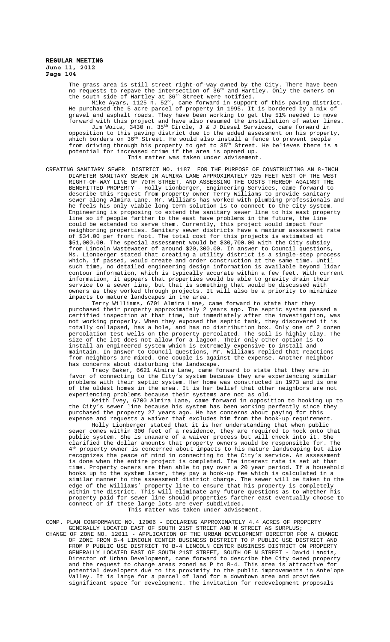> The grass area is still street right-of-way owned by the City. There have been no requests to repave the intersection of  $36^{\rm th}$  and Hartley. Only the owners on the south side of Hartley at 36<sup>th</sup> Street were notified. Mike Ayars, 1125 n. 52<sup>nd</sup>, came forward in support of this paving district. He purchased the 5 acre parcel of property in 1995. It is bordered by a mix of gravel and asphalt roads. They have been working to get the 51% needed to move forward with this project and have also resumed the installation of water lines. Jim Woita, 3430 n. 35th Circle, J & J Diesel Services, came forward in opposition to this paving district due to the added assessment on his property, which borders on 36th Street. He would also install a fence to prevent people from driving through his property to get to 35<sup>th</sup> Street. He believes there is a potential for increased crime if the area is opened up. This matter was taken under advisement.

CREATING SANITARY SEWER DISTRICT NO. 1187 FOR THE PURPOSE OF CONSTRUCTING AN 8-INCH DIAMETER SANITARY SEWER IN ALMIRA LANE APPROXIMATELY 925 FEET WEST OF RIGHT-OF-WAY LINE OF 70TH STREET, AND ASSESSING THE COSTS THEREOF AGAINST THE BENEFITTED PROPERTY - Holly Lionberger, Engineering Services, came forward to describe this request from property owner Terry Williams to provide sanitary sewer along Almira Lane. Mr. Williams has worked with plumbing professionals and he feels his only viable long-term solution is to connect to the City system. Engineering is proposing to extend the sanitary sewer line to his east property line so if people farther to the east have problems in the future, the line could be extended to serve them. Currently, this project would impact four neighboring properties. Sanitary sewer districts have a maximum assessment rate of \$34.00 per front foot. The total cost for this projects is estimated at \$51,000.00. The special assessment would be \$30,700.00 with the City subsidy from Lincoln Wastewater of around \$20,300.00. In answer to Council questions, Ms. Lionberger stated that creating a utility district is a single-step process which, if passed, would create and order construction at the same time. Until such time, no detailed engineering design information is available beyond lidar contour information, which is typically accurate within a few feet. With current information, it appears that properties would be able to gravity drain their service to a sewer line, but that is something that would be discussed with owners as they worked through projects. It will also be a priority to minimize impacts to mature landscapes in the area.

Terry Williams, 6701 Almira Lane, came forward to state that they purchased their property approximately 2 years ago. The septic system passed a certified inspection at that time, but immediately after the investigation, was not working properly. When they exposed the septic tank, they discovered it is totally collapsed, has a hole, and has no distribution box. Only one of 2 dozen percolation test wells on the property percolated. The soil is highly clay. The size of the lot does not allow for a lagoon. Their only other option is to install an engineered system which is extremely expensive to install and maintain. In answer to Council questions, Mr. Williams replied that reactions from neighbors are mixed. One couple is against the expense. Another neighbor has concerns about disturbing the landscape.

Tracy Baker, 6621 Almira Lane, came forward to state that they are in favor of connecting to the City's system because they are experiencing similar problems with their septic system. Her home was constructed in 1973 and is one of the oldest homes in the area. It is her belief that other neighbors are not experiencing problems because their systems are not as old.

Keith Ivey, 6700 Almira Lane, came forward in opposition to hooking up to the City's sewer line because his system has been working perfectly since they purchased the property 27 years ago. He has concerns about paying for this expense and requests a waiver that excludes him from the hook-up requirement.

Holly Lionberger stated that it is her understanding that when public sewer comes within 300 feet of a residence, they are required to hook onto that public system. She is unaware of a waiver process but will check into it. She clarified the dollar amounts that property owners would be responsible for. The  $4^{\text{th}}$  property owner is concerned about impacts to his mature landscaping but also property owner is concerned about impacts to his mature landscaping but also recognizes the peace of mind in connecting to the City's service. An assessment is done when the entire project is completed. The interest rate is set at that time. Property owners are then able to pay over a 20 year period. If a household hooks up to the system later, they pay a hook-up fee which is calculated in a similar manner to the assessment district charge. The sewer will be taken to the edge of the Williams' property line to ensure that his property is completely within the district. This will eliminate any future questions as to whether his property paid for sewer line should properties farther east eventually choose to connect or if these large lots are ever subdivided. This matter was taken under advisement.

COMP. PLAN CONFORMANCE NO. 12006 - DECLARING APPROXIMATELY 4.4 ACRES OF PROPERTY GENERALLY LOCATED EAST OF SOUTH 21ST STREET AND M STREET AS SURPLUS;

CHANGE OF ZONE NO. 12011 - APPLICATION OF THE URBAN DEVELOPMENT DIRECTOR FOR A CHANGE OF ZONE FROM B-4 LINCOLN CENTER BUSINESS DISTRICT TO P PUBLIC USE DISTRICT AND FROM P PUBLIC USE DISTRICT TO B-4 LINCOLN CENTER BUSINESS DISTRICT ON PROPERTY GENERALLY LOCATED EAST OF SOUTH 21ST STREET, SOUTH OF N STREET - David Landis, Director of Urban Development, came forward to describe the City owned property and the request to change areas zoned as P to B-4. This area is attractive for potential developers due to its proximity to the public improvements in Antelope Valley. It is large for a parcel of land for a downtown area and provides significant space for development. The invitation for redevelopment proposals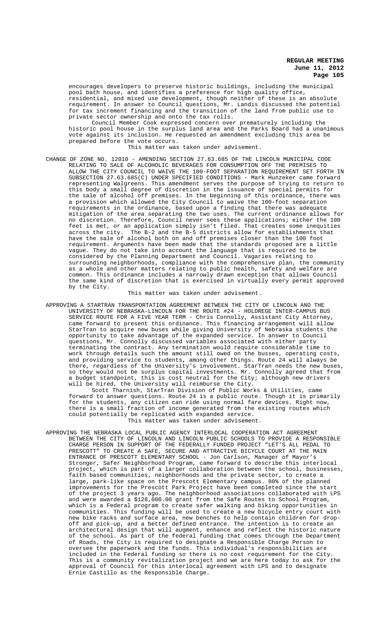encourages developers to preserve historic buildings, including the municipal pool bath house, and identifies a preference for high quality office, residential, and mixed use development, though neither of these is an absolute requirement. In answer to Council questions, Mr. Landis discussed the potential for tax increment financing and the transition of the land from public use to private sector ownership and onto the tax rolls.

Council Member Cook expressed concern over prematurely including the historic pool house in the surplus land area and the Parks Board had a unanimous vote against its inclusion. He requested an amendment excluding this area be prepared before the vote occurs.

This matter was taken under advisement.

CHANGE OF ZONE NO. 12010 - AMENDING SECTION 27.63.685 OF THE LINCOLN MUNICIPAL CODE RELATING TO SALE OF ALCOHOLIC BEVERAGES FOR CONSUMPTION OFF THE PREMISES TO ALLOW THE CITY COUNCIL TO WAIVE THE 100-FOOT SEPARATION REQUIREMENT SET FORTH IN SUBSECTION 27.63.685(C) UNDER SPECIFIED CONDITIONS - Mark Hunzeker came forward representing Walgreens. This amendment serves the purpose of trying to return to this body a small degree of discretion in the issuance of special permits for the sale of alcohol off premises. In the beginning of this ordinance, there was a provision which allowed the City Council to waive the 100-foot separation requirements in the ordinance, based upon a finding that there was adequate mitigation of the area separating the two uses. The current ordinance allows for no discretion. Therefore, Council never sees these applications; either the 100 feet is met, or an application simply isn't filed. That creates some inequities across the city. The B-2 and the B-5 districts allow for establishments that have the sale of alcohol both on and off premises closer than the 100 foot requirement. Arguments have been made that the standards proposed are a little vague. They do not take into account the language that is required to be considered by the Planning Department and Council. Vagaries relating to surrounding neighborhoods, compliance with the comprehensive plan, the community as a whole and other matters relating to public health, safety and welfare are common. This ordinance includes a narrowly drawn exception that allows Council the same kind of discretion that is exercised in virtually every permit approved by the City.

This matter was taken under advisement.

APPROVING A STARTRAN TRANSPORTATION AGREEMENT BETWEEN THE CITY OF LINCOLN AND THE UNIVERSITY OF NEBRASKA-LINCOLN FOR THE ROUTE #24 - HOLDREGE INTER-CAMPUS BUS SERVICE ROUTE FOR A FIVE YEAR TERM - Chris Connolly, Assistant City Attorney, came forward to present this ordinance. This financing arrangement will allow StarTran to acquire new buses while giving University of Nebraska students the opportunity to take advantage of the expanded service. In answer to Council questions, Mr. Connolly discussed variables associated with either party terminating the contract. Any termination would require considerable time to work through details such the amount still owed on the busses, operating costs, and providing service to students, among other things. Route 24 will always be there, regardless of the University's involvement. StarTran needs the new buses, so they would not be surplus capital investments. Mr. Connolly agreed that from a budget standpoint, this is cost neutral for the City; although new drivers will be hired, the University will reimburse the City.

Scott Tharnish, StarTran Division of Public Works & Utilities, came forward to answer questions. Route 24 is a public route. Though it is primarily for the students, any citizen can ride using normal fare devices. Right now, there is a small fraction of income generated from the existing routes which could potentially be replicated with expanded service. This matter was taken under advisement.

APPROVING THE NEBRASKA LOCAL PUBLIC AGENCY INTERLOCAL COOPERATION ACT AGREEMENT BETWEEN THE CITY OF LINCOLN AND LINCOLN PUBLIC SCHOOLS TO PROVIDE A RESPONSIBLE CHARGE PERSON IN SUPPORT OF THE FEDERALLY FUNDED PROJECT "LET'S ALL PEDAL TO PRESCOTT" TO CREATE A SAFE, SECURE AND ATTRACTIVE BICYCLE COURT AT THE MAIN ENTRANCE OF PRESCOTT ELEMENTARY SCHOOL - Jon Carlson, Manager of Mayor's Stronger, Safer Neighborhood Program, came forward to describe this interlocal project, which is part of a larger collaboration between the school, businesses, faith based communities, neighborhoods and the private sector, to create a large, park-like space on the Prescott Elementary campus. 80% of the planned<br>improvements for the Prescott Park Project have been completed since the start improvements for the Prescott Park Project have been completed since of the project 3 years ago. The neighborhood associations collaborated with LPS and were awarded a \$128,000.00 grant from the Safe Routes to School Program, which is a Federal program to create safer walking and biking opportunities in communities. This funding will be used to create a new bicycle entry court with new bike racks and surface area, new benches to help contain children for dropoff and pick-up, and a better defined entrance. The intention is to create an architectural design that will augment, enhance and reflect the historic nature of the school. As part of the federal funding that comes through the Department of Roads, the City is required to designate a Responsible Charge Person to oversee the paperwork and the funds. This individual's responsibilities are included in the Federal funding so there is no cost requirement for the City. This is a community revitalization project and we are here today to ask for the approval of Council for this interlocal agreement with LPS and to designate Ernie Castillo as the Responsible Charge.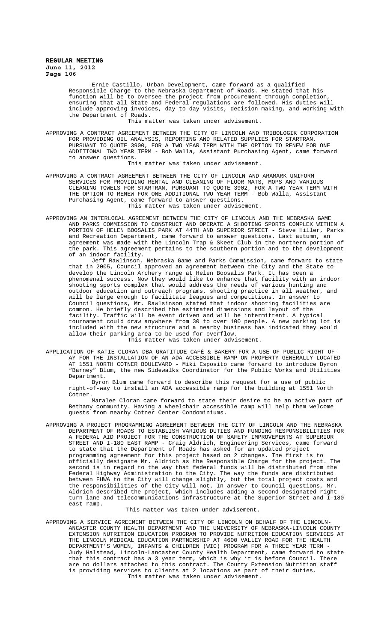Ernie Castillo, Urban Development, came forward as a qualified Responsible Charge to the Nebraska Department of Roads. He stated that his function will be to oversee the project from procurement through completion, ensuring that all State and Federal regulations are followed. His duties will include approving invoices, day to day visits, decision making, and working with the Department of Roads.

This matter was taken under advisement.

APPROVING A CONTRACT AGREEMENT BETWEEN THE CITY OF LINCOLN AND TRIBOLOGIK CORPORATION FOR PROVIDING OIL ANALYSIS, REPORTING AND RELATED SUPPLIES FOR STARTRAN, PURSUANT TO QUOTE 3900, FOR A TWO YEAR TERM WITH THE OPTION TO RENEW FOR ONE ADDITIONAL TWO YEAR TERM - Bob Walla, Assistant Purchasing Agent, came forward to answer questions.

This matter was taken under advisement.

- APPROVING A CONTRACT AGREEMENT BETWEEN THE CITY OF LINCOLN AND ARAMARK UNIFORM SERVICES FOR PROVIDING RENTAL AND CLEANING OF FLOOR MATS, MOPS AND VARIOUS CLEANING TOWELS FOR STARTRAN, PURSUANT TO QUOTE 3902, FOR A TWO YEAR TERM WITH THE OPTION TO RENEW FOR ONE ADDITIONAL TWO YEAR TERM - Bob Walla, Assistant Purchasing Agent, came forward to answer questions. This matter was taken under advisement.
- APPROVING AN INTERLOCAL AGREEMENT BETWEEN THE CITY OF LINCOLN AND THE NEBRASKA GAME AND PARKS COMMISSION TO CONSTRUCT AND OPERATE A SHOOTING SPORTS COMPLEX WITHIN A PORTION OF HELEN BOOSALIS PARK AT 44TH AND SUPERIOR STREET - Steve Hiller, Parks and Recreation Department, came forward to answer questions. Last autumn, an agreement was made with the Lincoln Trap & Skeet Club in the northern portion of the park. This agreement pertains to the southern portion and to the development of an indoor facility.

Jeff Rawlinson, Nebraska Game and Parks Commission, came forward to state that in 2005, Council approved an agreement between the City and the State to develop the Lincoln Archery range at Helen Boosalis Park. It has been a phenomenal success. Now they would like to enhance that facility with an indoor shooting sports complex that would address the needs of various hunting and outdoor education and outreach programs, shooting practice in all weather, and will be large enough to facilitate leagues and competitions. In answer to Council questions, Mr. Rawlsinson stated that indoor shooting facilities are common. He briefly described the estimated dimensions and layout of the facility. Traffic will be event driven and will be intermittent. A typical tournament could draw anywhere from 30 to over 100 people. A new parking lot is included with the new structure and a nearby business has indicated they would allow their parking area to be used for overflow.

This matter was taken under advisement.

APPLICATION OF KATIE CLORAN DBA GRATITUDE CAFÉ & BAKERY FOR A USE OF PUBLIC RIGHT-OF-AY FOR THE INSTALLATION OF AN ADA ACCESSIBLE RAMP ON PROPERTY GENERALLY LOCATED AT 1551 NORTH COTNER BOULEVARD - Miki Esposito came forward to introduce Byron "Barney" Blum, the new Sidewalks Coordinator for the Public Works and Utilities Department.

Byron Blum came forward to describe this request for a use of public right-of-way to install an ADA accessible ramp for the building at 1551 North Cotner.

Maralee Cloran came forward to state their desire to be an active part of Bethany community. Having a wheelchair accessible ramp will help them welcome guests from nearby Cotner Center Condominiums.

APPROVING A PROJECT PROGRAMMING AGREEMENT BETWEEN THE CITY OF LINCOLN AND THE NEBRASKA DEPARTMENT OF ROADS TO ESTABLISH VARIOUS DUTIES AND FUNDING RESPONSIBILITIES FOR A FEDERAL AID PROJECT FOR THE CONSTRUCTION OF SAFETY IMPROVEMENTS AT SUPERIOR STREET AND I-180 EAST RAMP - Craig Aldrich, Engineering Services, came forward to state that the Department of Roads has asked for an updated project programming agreement for this project based on 2 changes. The first is to officially designate Mr. Aldrich as the Responsible Charge for the project. The second is in regard to the way that federal funds will be distributed from the Federal Highway Administration to the City. The way the funds are distributed between FHWA to the City will change slightly, but the total project costs and the responsibilities of the City will not. In answer to Council questions, Mr. Aldrich described the project, which includes adding a second designated right turn lane and telecommunications infrastructure at the Superior Street and I-180 east ramp.

#### This matter was taken under advisement.

APPROVING A SERVICE AGREEMENT BETWEEN THE CITY OF LINCOLN ON BEHALF OF THE LINCOLN-ANCASTER COUNTY HEALTH DEPARTMENT AND THE UNIVERSITY OF NEBRASKA-LINCOLN COUNTY EXTENSION NUTRITION EDUCATION PROGRAM TO PROVIDE NUTRITION EDUCATION SERVICES AT THE LINCOLN MEDICAL EDUCATION PARTNERSHIP AT 4600 VALLEY ROAD FOR THE HEALTH DEPARTMENT'S WOMEN, INFANTS & CHILDREN (WIC) PROGRAM FOR A THREE YEAR TERM - Judy Halstead, Lincoln-Lancaster County Health Department, came forward to state that this contract has a 3 year term, which is why it is before Council. There are no dollars attached to this contract. The County Extension Nutrition staff is providing services to clients at 2 locations as part of their duties. This matter was taken under advisement.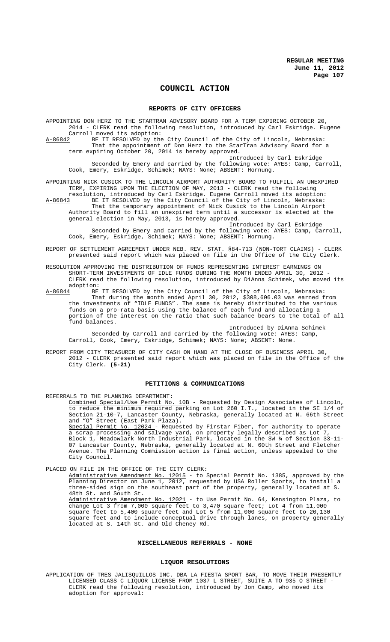# **COUNCIL ACTION**

### **REPORTS OF CITY OFFICERS**

APPOINTING DON HERZ TO THE STARTRAN ADVISORY BOARD FOR A TERM EXPIRING OCTOBER 20, 2014 - CLERK read the following resolution, introduced by Carl Eskridge. Eugene Carroll moved its adoption:<br>A-86842 BE IT RESOLVED by the BE IT RESOLVED by the City Council of the City of Lincoln, Nebraska: That the appointment of Don Herz to the StarTran Advisory Board for a term expiring October 20, 2014 is hereby approved.

Introduced by Carl Eskridge Seconded by Emery and carried by the following vote: AYES: Camp, Carroll, Cook, Emery, Eskridge, Schimek; NAYS: None; ABSENT: Hornung.

APPOINTING NICK CUSICK TO THE LINCOLN AIRPORT AUTHORITY BOARD TO FULFILL AN UNEXPIRED TERM, EXPIRING UPON THE ELECTION OF MAY, 2013 - CLERK read the following resolution, introduced by Carl Eskridge. Eugene Carroll moved its adoption:

A-86843 BE IT RESOLVED by the City Council of the City of Lincoln, Nebraska: That the temporary appointment of Nick Cusick to the Lincoln Airport Authority Board to fill an unexpired term until a successor is elected at the general election in May, 2013, is hereby approved.

Introduced by Carl Eskridge Seconded by Emery and carried by the following vote: AYES: Camp, Carroll, Cook, Emery, Eskridge, Schimek; NAYS: None; ABSENT: Hornung.

- REPORT OF SETTLEMENT AGREEMENT UNDER NEB. REV. STAT. §84-713 (NON-TORT CLAIMS) CLERK presented said report which was placed on file in the Office of the City Clerk.
- RESOLUTION APPROVING THE DISTRIBUTION OF FUNDS REPRESENTING INTEREST EARNINGS ON SHORT-TERM INVESTMENTS OF IDLE FUNDS DURING THE MONTH ENDED APRIL 30, 2012 - CLERK read the following resolution, introduced by DiAnna Schimek, who moved its adoption:<br>A-86844 BE
- BE IT RESOLVED by the City Council of the City of Lincoln, Nebraska: That during the month ended April 30, 2012, \$308,606.03 was earned from the investments of "IDLE FUNDS". The same is hereby distributed to the various funds on a pro-rata basis using the balance of each fund and allocating a portion of the interest on the ratio that such balance bears to the total of all fund balances.

Introduced by DiAnna Schimek Seconded by Carroll and carried by the following vote: AYES: Camp, Carroll, Cook, Emery, Eskridge, Schimek; NAYS: None; ABSENT: None.

REPORT FROM CITY TREASURER OF CITY CASH ON HAND AT THE CLOSE OF BUSINESS APRIL 30, 2012 - CLERK presented said report which was placed on file in the Office of the City Clerk. **(5-21)**

## **PETITIONS & COMMUNICATIONS**

REFERRALS TO THE PLANNING DEPARTMENT:<br>Combined Special/Use Permit No. 10B - Requested by Design Associates of Lincoln, to reduce the minimum required parking on Lot 260 I.T., located in the SE 1/4 of Section 21-10-7, Lancaster County, Nebraska, generally located at N. 66th Street and "O" Street (East Park Plaza). Special Permit No. 12024 - Requested by Firstar Fiber, for authority to operate a scrap processing and salvage yard, on property legally described as Lot 7, Block 1, Meadowlark North Industrial Park, located in the SW ¼ of Section 33-11- 07 Lancaster County, Nebraska, generally located at N. 60th Street and Fletcher Avenue. The Planning Commission action is final action, unless appealed to the City Council.

PLACED ON FILE IN THE OFFICE OF THE CITY CLERK: Administrative Amendment No. 12015 - to Special Permit No. 1385, approved by the Planning Director on June 1, 2012, requested by USA Roller Sports, to install a three-sided sign on the southeast part of the property, generally located at S. 48th St. and South St. Administrative Amendment No. 12021 - to Use Permit No. 64, Kensington Plaza, to change Lot 3 from 7,000 square feet to 3,470 square feet; Lot 4 from 11,000 square feet to 5,400 square feet and Lot 5 from 11,000 square feet to 20,130 square feet and to include conceptual drive through lanes, on property generally located at S. 14th St. and Old Cheney Rd.

### **MISCELLANEOUS REFERRALS - NONE**

#### **LIQUOR RESOLUTIONS**

APPLICATION OF TRES JALISQUILLOS INC. DBA LA FIESTA SPORT BAR, TO MOVE THEIR PRESENTLY LICENSED CLASS C LIQUOR LICENSE FROM 1037 L STREET, SUITE A TO 935 O STREET - CLERK read the following resolution, introduced by Jon Camp, who moved its adoption for approval: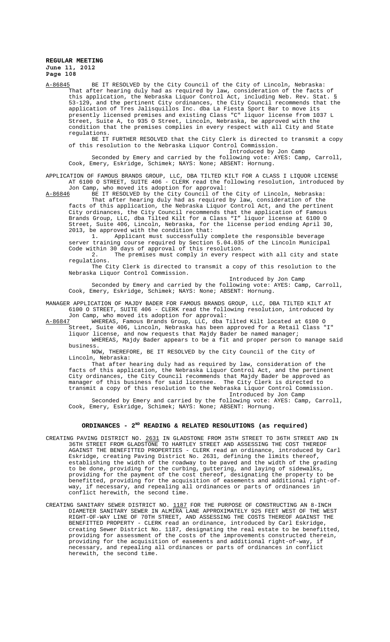A-86845 BE IT RESOLVED by the City Council of the City of Lincoln, Nebraska: That after hearing duly had as required by law, consideration of the facts of this application, the Nebraska Liquor Control Act, including Neb. Rev. Stat. § 53-129, and the pertinent City ordinances, the City Council recommends that the application of Tres Jalisquillos Inc. dba La Fiesta Sport Bar to move its presently licensed premises and existing Class "C" liquor license from 1037 L Street, Suite A, to 935 O Street, Lincoln, Nebraska, be approved with the condition that the premises complies in every respect with all City and State regulations.

BE IT FURTHER RESOLVED that the City Clerk is directed to transmit a copy of this resolution to the Nebraska Liquor Control Commission.

Introduced by Jon Camp

Seconded by Emery and carried by the following vote: AYES: Camp, Carroll, Cook, Emery, Eskridge, Schimek; NAYS: None; ABSENT: Hornung.

APPLICATION OF FAMOUS BRANDS GROUP, LLC, DBA TILTED KILT FOR A CLASS I LIQUOR LICENSE AT 6100 O STREET, SUITE 406 - CLERK read the following resolution, introduced by Jon Camp, who moved its adoption for approval:<br>A-86846 BE IT RESOLVED by the City Council of the

BE IT RESOLVED by the City Council of the City of Lincoln, Nebraska: That after hearing duly had as required by law, consideration of the facts of this application, the Nebraska Liquor Control Act, and the pertinent City ordinances, the City Council recommends that the application of Famous Brands Group, LLC, dba Tilted Kilt for a Class "I" liquor license at 6100 O Street, Suite 406, Lincoln, Nebraska, for the license period ending April 30, 2013, be approved with the condition that:

1. Applicant must successfully complete the responsible beverage server training course required by Section 5.04.035 of the Lincoln Municipal Code within 30 days of approval of this resolution.

2. The premises must comply in every respect with all city and state regulations.

The City Clerk is directed to transmit a copy of this resolution to the Nebraska Liquor Control Commission.

Introduced by Jon Camp Seconded by Emery and carried by the following vote: AYES: Camp, Carroll, Cook, Emery, Eskridge, Schimek; NAYS: None; ABSENT: Hornung.

MANAGER APPLICATION OF MAJDY BADER FOR FAMOUS BRANDS GROUP, LLC, DBA TILTED KILT AT 6100 O STREET, SUITE 406 - CLERK read the following resolution, introduced by

Jon Camp, who moved its adoption for approval:<br>A-86847 WHEREAS, Famous Brands Group, LLC, dba T A-86847 WHEREAS, Famous Brands Group, LLC, dba Tilted Kilt located at 6100 O Street, Suite 406, Lincoln, Nebraska has been approved for a Retail Class "I"

liquor license, and now requests that Majdy Bader be named manager; WHEREAS, Majdy Bader appears to be a fit and proper person to manage said business.

NOW, THEREFORE, BE IT RESOLVED by the City Council of the City of Lincoln, Nebraska:

That after hearing duly had as required by law, consideration of the facts of this application, the Nebraska Liquor Control Act, and the pertinent City ordinances, the City Council recommends that Majdy Bader be approved as manager of this business for said licensee. The City Clerk is directed to transmit a copy of this resolution to the Nebraska Liquor Control Commission. Introduced by Jon Camp

Seconded by Emery and carried by the following vote: AYES: Camp, Carroll, Cook, Emery, Eskridge, Schimek; NAYS: None; ABSENT: Hornung.

# ORDINANCES - 2<sup>ND</sup> READING & RELATED RESOLUTIONS (as required)

- CREATING PAVING DISTRICT NO. 2631 IN GLADSTONE FROM 35TH STREET TO 36TH STREET AND IN 36TH STREET FROM GLADSTONE TO HARTLEY STREET AND ASSESSING THE COST THEREOF AGAINST THE BENEFITTED PROPERTIES - CLERK read an ordinance, introduced by Carl Eskridge, creating Paving District No. 2631, defining the limits thereof, establishing the width of the roadway to be paved and the width of the grading to be done, providing for the curbing, guttering, and laying of sidewalks, providing for the payment of the cost thereof, designating the property to be benefitted, providing for the acquisition of easements and additional right-ofway, if necessary, and repealing all ordinances or parts of ordinances in conflict herewith, the second time.
- CREATING SANITARY SEWER DISTRICT NO. 1187 FOR THE PURPOSE OF CONSTRUCTING AN 8-INCH DIAMETER SANITARY SEWER IN ALMIRA LANE APPROXIMATELY 925 FEET WEST OF THE WEST RIGHT-OF-WAY LINE OF 70TH STREET, AND ASSESSING THE COSTS THEREOF AGAINST THE BENEFITTED PROPERTY - CLERK read an ordinance, introduced by Carl Eskridge, creating Sewer District No. 1187, designating the real estate to be benefitted, providing for assessment of the costs of the improvements constructed therein, providing for the acquisition of easements and additional right-of-way, if necessary, and repealing all ordinances or parts of ordinances in conflict herewith, the second time.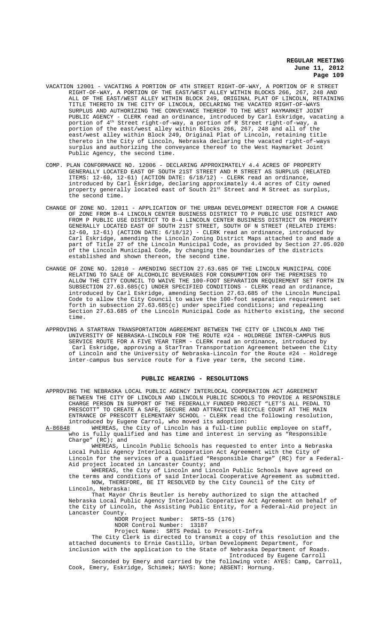- VACATION 12001 VACATING A PORTION OF 4TH STREET RIGHT-OF-WAY, A PORTION OF R STREET RIGHT-OF-WAY, A PORTION OF THE EAST/WEST ALLEY WITHIN BLOCKS 266, 267, 248 AND ALL OF THE EAST/WEST ALLEY WITHIN BLOCK 249, ORIGINAL PLAT OF LINCOLN, RETAINING TITLE THERETO IN THE CITY OF LINCOLN, DECLARING THE VACATED RIGHT-OF-WAYS SURPLUS AND AUTHORIZING THE CONVEYANCE THEREOF TO THE WEST HAYMARKET JOINT PUBLIC AGENCY - CLERK read an ordinance, introduced by Carl Eskridge, vacating a portion of 4th Street right-of-way, a portion of R Street right-of-way, a portion of the east/west alley within Blocks 266, 267, 248 and all of the east/west alley within Block 249, Original Plat of Lincoln, retaining title thereto in the City of Lincoln, Nebraska declaring the vacated right-of-ways surplus and authorizing the conveyance thereof to the West Haymarket Joint Public Agency, the second time.
- COMP. PLAN CONFORMANCE NO. 12006 DECLARING APPROXIMATELY 4.4 ACRES OF PROPERTY GENERALLY LOCATED EAST OF SOUTH 21ST STREET AND M STREET AS SURPLUS (RELATED ITEMS: 12-60, 12-61) (ACTION DATE: 6/18/12) - CLERK read an ordinance, introduced by Carl Eskridge, declaring approximately 4.4 acres of City owned property generally located east of South 21st Street and M Street as surplus, the second time.
- CHANGE OF ZONE NO. 12011 APPLICATION OF THE URBAN DEVELOPMENT DIRECTOR FOR A CHANGE OF ZONE FROM B-4 LINCOLN CENTER BUSINESS DISTRICT TO P PUBLIC USE DISTRICT AND FROM P PUBLIC USE DISTRICT TO B-4 LINCOLN CENTER BUSINESS DISTRICT ON PROPERTY GENERALLY LOCATED EAST OF SOUTH 21ST STREET, SOUTH OF N STREET (RELATED ITEMS: 12-60, 12-61) (ACTION DATE: 6/18/12) - CLERK read an ordinance, introduced by Carl Eskridge, amending the Lincoln Zoning District Maps attached to and made a part of Title 27 of the Lincoln Municipal Code, as provided by Section 27.05.020 of the Lincoln Municipal Code, by changing the boundaries of the districts established and shown thereon, the second time.
- CHANGE OF ZONE NO. 12010 AMENDING SECTION 27.63.685 OF THE LINCOLN MUNICIPAL CODE RELATING TO SALE OF ALCOHOLIC BEVERAGES FOR CONSUMPTION OFF THE PREMISES TO ALLOW THE CITY COUNCIL TO WAIVE THE 100-FOOT SEPARATION REQUIREMENT SET FORTH IN SUBSECTION 27.63.685(C) UNDER SPECIFIED CONDITIONS - CLERK read an ordinance, introduced by Carl Eskridge, amending Section 27.63.685 of the Lincoln Muncipal Code to allow the City Council to waive the 100-foot separation requirement set forth in subsection  $27.63.685(c)$  under specified conditions; and repealing Section 27.63.685 of the Lincoln Municipal Code as hitherto existing, the second time.
- APPROVING A STARTRAN TRANSPORTATION AGREEMENT BETWEEN THE CITY OF LINCOLN AND THE UNIVERSITY OF NEBRASKA-LINCOLN FOR THE ROUTE #24 - HOLDREGE INTER-CAMPUS BUS SERVICE ROUTE FOR A FIVE YEAR TERM - CLERK read an ordinance, introduced by Carl Eskridge, approving a StarTran Transportation Agreement between the City of Lincoln and the University of Nebraska-Lincoln for the Route #24 - Holdrege inter-campus bus service route for a five year term, the second time.

### **PUBLIC HEARING - RESOLUTIONS**

APPROVING THE NEBRASKA LOCAL PUBLIC AGENCY INTERLOCAL COOPERATION ACT AGREEMENT BETWEEN THE CITY OF LINCOLN AND LINCOLN PUBLIC SCHOOLS TO PROVIDE A RESPONSIBLE CHARGE PERSON IN SUPPORT OF THE FEDERALLY FUNDED PROJECT "LET'S ALL PEDAL TO PRESCOTT" TO CREATE A SAFE, SECURE AND ATTRACTIVE BICYCLE COURT AT THE MAIN ENTRANCE OF PRESCOTT ELEMENTARY SCHOOL - CLERK read the following resolution, introduced by Eugene Carrol, who moved its adoption:<br>A-86848 WHEREAS, the City of Lincoln has a full-time p

WHEREAS, the City of Lincoln has a full-time public employee on staff, who is fully qualified and has time and interest in serving as "Responsible Charge" (RC); and

WHEREAS, Lincoln Public Schools has requested to enter into a Nebraska Local Public Agency Interlocal Cooperation Act Agreement with the City of Lincoln for the services of a qualified "Responsible Charge" (RC) for a Federal-Aid project located in Lancaster County; and

WHEREAS, the City of Lincoln and Lincoln Public Schools have agreed on the terms and conditions of said Interlocal Cooperative Agreement as submitted. NOW, THEREFORE, BE IT RESOLVED by the City Council of the City of Lincoln, Nebraska:

That Mayor Chris Beutler is hereby authorized to sign the attached Nebraska Local Public Agency Interlocal Cooperative Act Agreement on behalf of the City of Lincoln, the Assisting Public Entity, for a Federal-Aid project in Lancaster County.

NDOR Project Number: SRTS-55 (176)

NDOR Control Number: 13187

Project Name: SRTS Pedal to Prescott-Infra

The City Clerk is directed to transmit a copy of this resolution and the attached documents to Ernie Castillo, Urban Development Department, for inclusion with the application to the State of Nebraska Department of Roads.

Introduced by Eugene Carroll

Seconded by Emery and carried by the following vote: AYES: Camp, Carroll, Cook, Emery, Eskridge, Schimek; NAYS: None; ABSENT: Hornung.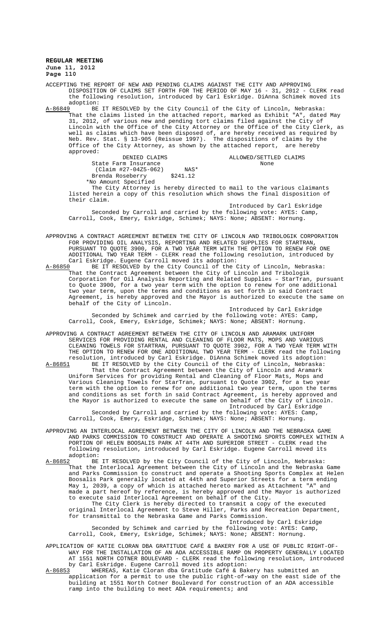ACCEPTING THE REPORT OF NEW AND PENDING CLAIMS AGAINST THE CITY AND APPROVING DISPOSITION OF CLAIMS SET FORTH FOR THE PERIOD OF MAY 16 - 31, 2012 - CLERK read the following resolution, introduced by Carl Eskridge. DiAnna Schimek moved its adoption:<br><u>A-86849</u> BE

A-86849 BE IT RESOLVED by the City Council of the City of Lincoln, Nebraska: That the claims listed in the attached report, marked as Exhibit "A", dated May 31, 2012, of various new and pending tort claims filed against the City of Lincoln with the Office of the City Attorney or the Office of the City Clerk, as well as claims which have been disposed of, are hereby received as required by Neb. Rev. Stat. § 13-905 (Reissue 1997). The dispositions of claims by the Office of the City Attorney, as shown by the attached report, are hereby approved:

| DENIED CLAIMS        |          | ALLOWED/SETTL |
|----------------------|----------|---------------|
| State Farm Insurance |          | None          |
| (Claim #27-04Z5-062) | NAS*     |               |
| Brenda Roseberry     | \$241.12 |               |
| *No Amount Specified |          |               |

The City Attorney is hereby directed to mail to the various claimants listed herein a copy of this resolution which shows the final disposition of their claim.

DENIED CLAIMS ALLOWED/SETTLED CLAIMS

Introduced by Carl Eskridge Seconded by Carroll and carried by the following vote: AYES: Camp, Carroll, Cook, Emery, Eskridge, Schimek; NAYS: None; ABSENT: Hornung.

APPROVING A CONTRACT AGREEMENT BETWEEN THE CITY OF LINCOLN AND TRIBOLOGIK CORPORATION FOR PROVIDING OIL ANALYSIS, REPORTING AND RELATED SUPPLIES FOR STARTRAN, PURSUANT TO QUOTE 3900, FOR A TWO YEAR TERM WITH THE OPTION TO RENEW FOR ONE ADDITIONAL TWO YEAR TERM - CLERK read the following resolution, introduced by Carl Eskridge. Eugene Carroll moved its adoption:<br>A-86850 BE IT RESOLVED by the City Council of the

A-86850 BE IT RESOLVED by the City Council of the City of Lincoln, Nebraska: That the Contract Agreement between the City of Lincoln and Tribologik Corporation for Oil Analysis Reporting and Related Supplies – StarTran, pursuant to Quote 3900, for a two year term with the option to renew for one additional two year term, upon the terms and conditions as set forth in said Contract Agreement, is hereby approved and the Mayor is authorized to execute the same on behalf of the City of Lincoln.

Introduced by Carl Eskridge Seconded by Schimek and carried by the following vote: AYES: Camp, Carroll, Cook, Emery, Eskridge, Schimek; NAYS: None; ABSENT: Hornung.

APPROVING A CONTRACT AGREEMENT BETWEEN THE CITY OF LINCOLN AND ARAMARK UNIFORM SERVICES FOR PROVIDING RENTAL AND CLEANING OF FLOOR MATS, MOPS AND VARIOUS CLEANING TOWELS FOR STARTRAN, PURSUANT TO QUOTE 3902, FOR A TWO YEAR TERM WITH THE OPTION TO RENEW FOR ONE ADDITIONAL TWO YEAR TERM - CLERK read the following resolution, introduced by Carl Eskridge. DiAnna Schimek moved its adoption: A-86851 BE IT RESOLVED by the City Council of the City of Lincoln, Nebraska: That the Contract Agreement between the City of Lincoln and Aramark Uniform Services for providing Rental and Cleaning of Floor Mats, Mops and Various Cleaning Towels for StarTran, pursuant to Quote 3902, for a two year term with the option to renew for one additional two year term, upon the terms and conditions as set forth in said Contract Agreement, is hereby approved and the Mayor is authorized to execute the same on behalf of the City of Lincoln. Introduced by Carl Eskridge

Seconded by Carroll and carried by the following vote: AYES: Camp, Carroll, Cook, Emery, Eskridge, Schimek; NAYS: None; ABSENT: Hornung.

- APPROVING AN INTERLOCAL AGREEMENT BETWEEN THE CITY OF LINCOLN AND THE NEBRASKA GAME AND PARKS COMMISSION TO CONSTRUCT AND OPERATE A SHOOTING SPORTS COMPLEX WITHIN A PORTION OF HELEN BOOSALIS PARK AT 44TH AND SUPERIOR STREET - CLERK read the following resolution, introduced by Carl Eskridge. Eugene Carroll moved its adoption:
- A-86852 BE IT RESOLVED by the City Council of the City of Lincoln, Nebraska: That the Interlocal Agreement between the City of Lincoln and the Nebraska Game and Parks Commission to construct and operate a Shooting Sports Complex at Helen Boosalis Park generally located at 44th and Superior Streets for a term ending May 1, 2039, a copy of which is attached hereto marked as Attachment "A" and<br>made a part hereof by reference, is hereby approved and the Mayor is authori: by reference, is hereby approved and the Mayor is authorized to execute said Interlocal Agreement on behalf of the City.

The City Clerk is hereby directed to transmit a copy of the executed original Interlocal Agreement to Steve Hiller, Parks and Recreation Department, for transmittal to the Nebraska Game and Parks Commission. Introduced by Carl Eskridge

Seconded by Schimek and carried by the following vote: AYES: Camp, Carroll, Cook, Emery, Eskridge, Schimek; NAYS: None; ABSENT: Hornung.

APPLICATION OF KATIE CLORAN DBA GRATITUDE CAFÉ & BAKERY FOR A USE OF PUBLIC RIGHT-OF-WAY FOR THE INSTALLATION OF AN ADA ACCESSIBLE RAMP ON PROPERTY GENERALLY LOCATED AT 1551 NORTH COTNER BOULEVARD - CLERK read the following resolution, introduced by Carl Eskridge. Eugene Carroll moved its adoption:<br>A-86853 WHEREAS, Katie Cloran dba Gratitude Café & Bak

A-86853 WHEREAS, Katie Cloran dba Gratitude Café & Bakery has submitted an application for a permit to use the public right-of-way on the east side of the building at 1551 North Cotner Boulevard for construction of an ADA accessible ramp into the building to meet ADA requirements; and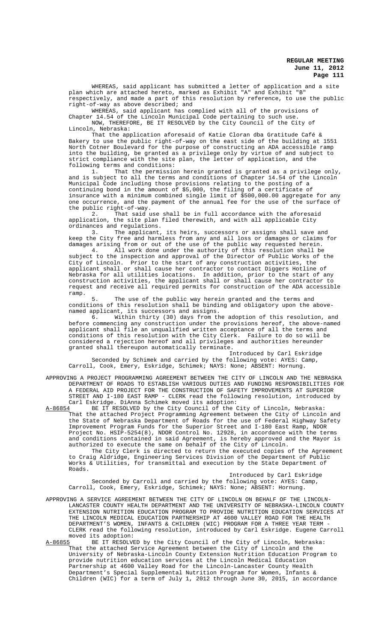WHEREAS, said applicant has submitted a letter of application and a site plan which are attached hereto, marked as Exhibit "A" and Exhibit "B" respectively, and made a part of this resolution by reference, to use the public right-of-way as above described; and

WHEREAS, said applicant has complied with all of the provisions of Chapter 14.54 of the Lincoln Municipal Code pertaining to such use. NOW, THEREFORE, BE IT RESOLVED by the City Council of the City of Lincoln, Nebraska:

That the application aforesaid of Katie Cloran dba Gratitude Café & Bakery to use the public right-of-way on the east side of the building at 1551 North Cotner Boulevard for the purpose of constructing an ADA accessible ramp into the building, be granted as a privilege only by virtue of and subject to strict compliance with the site plan, the letter of application, and the following terms and conditions:

1. That the permission herein granted is granted as a privilege only, and is subject to all the terms and conditions of Chapter 14.54 of the Lincoln Municipal Code including those provisions relating to the posting of a continuing bond in the amount of \$5,000, the filing of a certificate of insurance with a minimum combined single limit of \$500,000.00 aggregate for any one occurrence, and the payment of the annual fee for the use of the surface of the public right-of-way.

2. That said use shall be in full accordance with the aforesaid application, the site plan filed therewith, and with all applicable City ordinances and regulations.

3. The applicant, its heirs, successors or assigns shall save and keep the City free and harmless from any and all loss or damages or claims for damages arising from or out of the use of the public way requested herein.

4. All work done under the authority of this resolution shall be subject to the inspection and approval of the Director of Public Works of the City of Lincoln. Prior to the start of any construction activities, the applicant shall or shall cause her contractor to contact Diggers Hotline of Nebraska for all utilities locations. In addition, prior to the start of any construction activities, the applicant shall or shall cause her contractor to request and receive all required permits for construction of the ADA accessible ramp.

5. The use of the public way herein granted and the terms and conditions of this resolution shall be binding and obligatory upon the abovenamed applicant, its successors and assigns.

6. Within thirty (30) days from the adoption of this resolution, and before commencing any construction under the provisions hereof, the above-named applicant shall file an unqualified written acceptance of all the terms and conditions of this resolution with the City Clerk. Failure to do so will be considered a rejection hereof and all privileges and authorities hereunder granted shall thereupon automatically terminate.

Introduced by Carl Eskridge Seconded by Schimek and carried by the following vote: AYES: Camp, Carroll, Cook, Emery, Eskridge, Schimek; NAYS: None; ABSENT: Hornung.

APPROVING A PROJECT PROGRAMMING AGREEMENT BETWEEN THE CITY OF LINCOLN AND THE NEBRASKA DEPARTMENT OF ROADS TO ESTABLISH VARIOUS DUTIES AND FUNDING RESPONSIBILITIES FOR A FEDERAL AID PROJECT FOR THE CONSTRUCTION OF SAFETY IMPROVEMENTS AT SUPERIOR STREET AND I-180 EAST RAMP - CLERK read the following resolution, introduced by Carl Eskridge. DiAnna Schimek moved its adoption:<br>A-86854 BE IT RESOLVED by the City Council of the

BE IT RESOLVED by the City Council of the City of Lincoln, Nebraska: That the attached Project Programming Agreement between the City of Lincoln and the State of Nebraska Department of Roads for the use of Federal Highway Safety Improvement Program Funds for the Superior Street and I-180 East Ramp, NDOR Project No. HSIP-5254(8), NDOR Control No. 12928, in accordance with the terms and conditions contained in said Agreement, is hereby approved and the Mayor is authorized to execute the same on behalf of the City of Lincoln.

The City Clerk is directed to return the executed copies of the Agreement to Craig Aldridge, Engineering Services Division of the Department of Public Works & Utilities, for transmittal and execution by the State Department of Roads.

Introduced by Carl Eskridge Seconded by Carroll and carried by the following vote: AYES: Camp, Carroll, Cook, Emery, Eskridge, Schimek; NAYS: None; ABSENT: Hornung.

APPROVING A SERVICE AGREEMENT BETWEEN THE CITY OF LINCOLN ON BEHALF OF THE LINCOLN-LANCASTER COUNTY HEALTH DEPARTMENT AND THE UNIVERSITY OF NEBRASKA-LINCOLN COUNTY EXTENSION NUTRITION EDUCATION PROGRAM TO PROVIDE NUTRITION EDUCATION SERVICES AT THE LINCOLN MEDICAL EDUCATION PARTNERSHIP AT 4600 VALLEY ROAD FOR THE HEALTH DEPARTMENT'S WOMEN, INFANTS & CHILDREN (WIC) PROGRAM FOR A THREE YEAR TERM CLERK read the following resolution, introduced by Carl Eskridge. Eugene Carroll moved its adoption:

A-86855 BE IT RESOLVED by the City Council of the City of Lincoln, Nebraska: That the attached Service Agreement between the City of Lincoln and the University of Nebraska-Lincoln County Extension Nutrition Education Program to provide nutrition education services at the Lincoln Medical Education Partnership at 4600 Valley Road for the Lincoln-Lancaster County Health Department's Special Supplemental Nutrition Program for Women, Infants & Children (WIC) for a term of July 1, 2012 through June 30, 2015, in accordance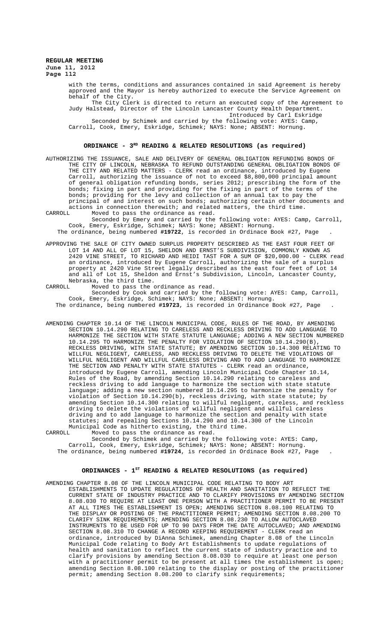> with the terms, conditions and assurances contained in said Agreement is hereby approved and the Mayor is hereby authorized to execute the Service Agreement on behalf of the City. The City Clerk is directed to return an executed copy of the Agreement to

Judy Halstead, Director of the Lincoln Lancaster County Health Department. Introduced by Carl Eskridge

Seconded by Schimek and carried by the following vote: AYES: Camp, Carroll, Cook, Emery, Eskridge, Schimek; NAYS: None; ABSENT: Hornung.

### **ORDINANCE - 3RD READING & RELATED RESOLUTIONS (as required)**

AUTHORIZING THE ISSUANCE, SALE AND DELIVERY OF GENERAL OBLIGATION REFUNDING BONDS OF THE CITY OF LINCOLN, NEBRASKA TO REFUND OUTSTANDING GENERAL OBLIGATION BONDS OF THE CITY AND RELATED MATTERS - CLERK read an ordinance, introduced by Eugene Carroll, authorizing the issuance of not to exceed \$8,800,000 principal amount of general obligation refunding bonds, series 2012; prescribing the form of the bonds; fixing in part and providing for the fixing in part of the terms of the bonds; providing for the levy and collection of an annual tax to pay the principal of and interest on such bonds; authorizing certain other documents and actions in connection therewith; and related matters, the third time.<br>CARROLL Moved to pass the ordinance as read.

Moved to pass the ordinance as read. Seconded by Emery and carried by the following vote: AYES: Camp, Carroll, Cook, Emery, Eskridge, Schimek; NAYS: None; ABSENT: Hornung.

The ordinance, being numbered **#19722**, is recorded in Ordinace Book #27, Page .

APPROVING THE SALE OF CITY OWNED SURPLUS PROPERTY DESCRIBED AS THE EAST FOUR FEET OF LOT 14 AND ALL OF LOT 15, SHELDON AND ERNST'S SUBDIVISION, COMMONLY KNOWN AS 2420 VINE STREET, TO RICHARD AND HEIDI TAST FOR A SUM OF \$20,000.00 - CLERK read an ordinance, introduced by Eugene Carroll, authorizing the sale of a surplus property at 2420 Vine Street legally described as the east four feet of Lot 14 and all of Lot 15, Sheldon and Ernst's Subdivision, Lincoln, Lancaster County, Nebraska, the third time. CARROLL Moved to pass the ordinance as read.

Seconded by Cook and carried by the following vote: AYES: Camp, Carroll, Cook, Emery, Eskridge, Schimek; NAYS: None; ABSENT: Hornung. The ordinance, being numbered **#19723**, is recorded in Ordinance Book #27, Page .

AMENDING CHAPTER 10.14 OF THE LINCOLN MUNICIPAL CODE, RULES OF THE ROAD, BY AMENDING SECTION 10.14.290 RELATING TO CARELESS AND RECKLESS DRIVING TO ADD LANGUAGE TO HARMONIZE THE SECTION WITH STATE STATUTE LANGUAGE; ADDING A NEW SECTION NUMBERED 10.14.295 TO HARMONIZE THE PENALTY FOR VIOLATION OF SECTION 10.14.290(B), RECKLESS DRIVING, WITH STATE STATUTE; BY AMENDING SECTION 10.14.300 RELATING TO WILLFUL NEGLIGENT, CARELESS, AND RECKLESS DRIVING TO DELETE THE VIOLATIONS OF WILLFUL NEGLIGENT AND WILLFUL CARELESS DRIVING AND TO ADD LANGUAGE TO HARMONIZE THE SECTION AND PENALTY WITH STATE STATUTES - CLERK read an ordinance, introduced by Eugene Carroll, amending Lincoln Municipal Code Chapter 10.14, Rules of the Road, by amending Section 10.14.290 relating to careless and reckless driving to add language to harmonize the section with state statute language; adding a new section numbered 10.14.295 to harmonize the penalty for violation of Section 10.14.290(b), reckless driving, with state statute; by amending Section 10.14.300 relating to willful negligent, careless, and reckless driving to delete the violations of willful negligent and willful careless driving and to add language to harmonize the section and penalty with state statutes; and repealing Sections 10.14.290 and 10.14.300 of the Lincoln Municipal Code as hitherto existing, the third time.<br>CARROLL Moved to pass the ordinance as read.

CARROLL Moved to pass the ordinance as read. Seconded by Schimek and carried by the following vote: AYES: Camp, Carroll, Cook, Emery, Eskridge, Schimek; NAYS: None; ABSENT: Hornung. The ordinance, being numbered **#19724**, is recorded in Ordinace Book #27, Page .

### ORDINANCES - 1<sup>st</sup> READING & RELATED RESOLUTIONS (as required)

AMENDING CHAPTER 8.08 OF THE LINCOLN MUNICIPAL CODE RELATING TO BODY ART ESTABLISHMENTS TO UPDATE REGULATIONS OF HEALTH AND SANITATION TO REFLECT THE CURRENT STATE OF INDUSTRY PRACTICE AND TO CLARIFY PROVISIONS BY AMENDING SECTION 8.08.030 TO REQUIRE AT LEAST ONE PERSON WITH A PRACTITIONER PERMIT TO BE PRESENT AT ALL TIMES THE ESTABLISHMENT IS OPEN; AMENDING SECTION 8.08.100 RELATING TO THE DISPLAY OR POSTING OF THE PRACTITIONER PERMIT; AMENDING SECTION 8.08.200 TO CLARIFY SINK REQUIREMENTS; AMENDING SECTION 8.08.230 TO ALLOW AUTOCLAVED INSTRUMENTS TO BE USED FOR UP TO 90 DAYS FROM THE DATE AUTOCLAVED; AND AMENDING SECTION 8.08.310 TO CHANGE A RECORD KEEPING REQUIREMENT - CLERK read an ordinance, introduced by DiAnna Schimek, amending Chapter 8.08 of the Lincoln Municipal Code relating to Body Art Establishments to update regulations of health and sanitation to reflect the current state of industry practice and to clarify provisions by amending Section 8.08.030 to require at least one person with a practitioner permit to be present at all times the establishment is open; amending Section 8.08.100 relating to the display or posting of the practitioner permit; amending Section 8.08.200 to clarify sink requirements;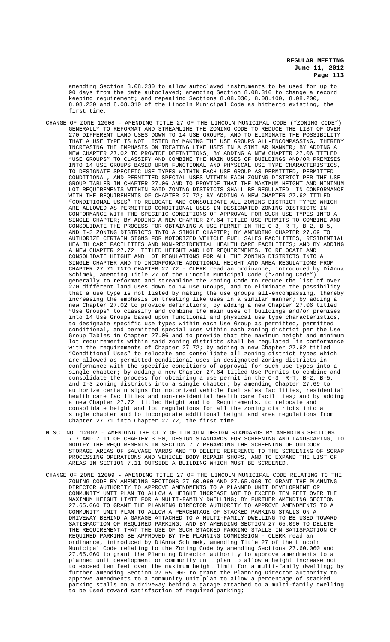amending Section 8.08.230 to allow autoclaved instruments to be used for up to 90 days from the date autoclaved; amending Section 8.08.310 to change a record keeping requirement; and repealing Sections 8.08.030, 8.08.100, 8.08.200, 8.08.230 and 8.08.310 of the Lincoln Municipal Code as hitherto existing, the first time.

- CHANGE OF ZONE 12008 AMENDING TITLE 27 OF THE LINCOLN MUNICIPAL CODE ("ZONING CODE") GENERALLY TO REFORMAT AND STREAMLINE THE ZONING CODE TO REDUCE THE LIST OF OVER 270 DIFFERENT LAND USES DOWN TO 14 USE GROUPS, AND TO ELIMINATE THE POSSIBILITY THAT A USE TYPE IS NOT LISTED BY MAKING THE USE GROUPS ALL-ENCOMPASSING, THEREBY INCREASING THE EMPHASIS ON TREATING LIKE USES IN A SIMILAR MANNER; BY ADDING A NEW CHAPTER 27.02 TO PROVIDE DEFINITIONS; BY ADDING A NEW CHAPTER 27.06 TITLED "USE GROUPS" TO CLASSIFY AND COMBINE THE MAIN USES OF BUILDINGS AND/OR PREMISES INTO 14 USE GROUPS BASED UPON FUNCTIONAL AND PHYSICAL USE TYPE CHARACTERISTICS, TO DESIGNATE SPECIFIC USE TYPES WITHIN EACH USE GROUP AS PERMITTED, PERMITTED CONDITIONAL, AND PERMITTED SPECIAL USES WITHIN EACH ZONING DISTRICT PER THE USE GROUP TABLES IN CHAPTER 27.06 AND TO PROVIDE THAT THE MAXIMUM HEIGHT AND MINIMUM LOT REQUIREMENTS WITHIN SAID ZONING DISTRICTS SHALL BE REGULATED IN CONFORMANCE WITH THE REQUIREMENTS OF CHAPTER 27.72; BY ADDING A NEW CHAPTER 27.62 TITLED "CONDITIONAL USES" TO RELOCATE AND CONSOLIDATE ALL ZONING DISTRICT TYPES WHICH ARE ALLOWED AS PERMITTED CONDITIONAL USES IN DESIGNATED ZONING DISTRICTS IN CONFORMANCE WITH THE SPECIFIC CONDITIONS OF APPROVAL FOR SUCH USE TYPES INTO A SINGLE CHAPTER; BY ADDING A NEW CHAPTER 27.64 TITLED USE PERMITS TO COMBINE AND CONSOLIDATE THE PROCESS FOR OBTAINING A USE PERMIT IN THE O-3, R-T, B-2, B-5, AND I-3 ZONING DISTRICTS INTO A SINGLE CHAPTER; BY AMENDING CHAPTER 27.69 TO AUTHORIZE CERTAIN SIGNS FOR MOTORIZED VEHICLE FUEL SALES FACILITIES, RESIDENTIAL HEALTH CARE FACILITIES AND NON-RESIDENTIAL HEALTH CARE FACILITIES; AND BY ADDING A NEW CHAPTER 27.72 TITLED HEIGHT AND LOT REQUIREMENTS, TO RELOCATE AND CONSOLIDATE HEIGHT AND LOT REGULATIONS FOR ALL THE ZONING DISTRICTS INTO A SINGLE CHAPTER AND TO INCORPORATE ADDITIONAL HEIGHT AND AREA REGULATIONS FROM CHAPTER 27.71 INTO CHAPTER 27.72 - CLERK read an ordinance, introduced by DiAnna Schimek, amending Title 27 of the Lincoln Municipal Code ("Zoning Code") generally to reformat and streamline the Zoning Code to reduce the list of over 270 different land uses down to 14 Use Groups, and to eliminate the possibility that a use type is not listed by making the use groups all-encompassing, thereby increasing the emphasis on treating like uses in a similar manner; by adding a new Chapter 27.02 to provide definitions; by adding a new Chapter 27.06 titled "Use Groups" to classify and combine the main uses of buildings and/or premises into 14 Use Groups based upon functional and physical use type characteristics, to designate specific use types within each Use Group as permitted, permitted conditional, and permitted special uses within each zoning district per the Use Group Tables in Chapter 27.06 and to provide that the maximum height and minimum<br>lot requirements within said zoning districts shall be regulated in conformance lot requirements within said zoning districts shall be regulated with the requirements of Chapter 27.72; by adding a new Chapter 27.62 titled "Conditional Uses" to relocate and consolidate all zoning district types which are allowed as permitted conditional uses in designated zoning districts in conformance with the specific conditions of approval for such use types into a single chapter; by adding a new Chapter 27.64 titled Use Permits to combine and consolidate the process for obtaining a use permit in the O-3, R-T, B-2, B-5, and I-3 zoning districts into a single chapter; by amending Chapter 27.69 to authorize certain signs for motorized vehicle fuel sales facilities, residential health care facilities and non-residential health care facilities; and by adding a new Chapter 27.72 titled Height and Lot Requirements, to relocate and consolidate height and lot regulations for all the zoning districts into a single chapter and to incorporate additional height and area regulations from Chapter 27.71 into Chapter 27.72, the first time.
- MISC. NO. 12002 AMENDING THE CITY OF LINCOLN DESIGN STANDARDS BY AMENDING SECTIONS 7.7 AND 7.11 OF CHAPTER 3.50, DESIGN STANDARDS FOR SCREENING AND LANDSCAPING, TO MODIFY THE REQUIREMENTS IN SECTION 7.7 REGARDING THE SCREENING OF OUTDOOR STORAGE AREAS OF SALVAGE YARDS AND TO DELETE REFERENCE TO THE SCREENING OF SCRAP PROCESSING OPERATIONS AND VEHICLE BODY REPAIR SHOPS, AND TO EXPAND THE LIST OF AREAS IN SECTION 7.11 OUTSIDE A BUILDING WHICH MUST BE SCREENED.
- CHANGE OF ZONE 12009 AMENDING TITLE 27 OF THE LINCOLN MUNICIPAL CODE RELATING TO THE ZONING CODE BY AMENDING SECTIONS 27.60.060 AND 27.65.060 TO GRANT THE PLANNING DIRECTOR AUTHORITY TO APPROVE AMENDMENTS TO A PLANNED UNIT DEVELOPMENT OR COMMUNITY UNIT PLAN TO ALLOW A HEIGHT INCREASE NOT TO EXCEED TEN FEET OVER THE MAXIMUM HEIGHT LIMIT FOR A MULTI-FAMILY DWELLING; BY FURTHER AMENDING SECTION 27.65.060 TO GRANT THE PLANNING DIRECTOR AUTHORITY TO APPROVE AMENDMENTS TO A COMMUNITY UNIT PLAN TO ALLOW A PERCENTAGE OF STACKED PARKING STALLS ON A DRIVEWAY BEHIND A GARAGE ATTACHED TO A MULTI-FAMILY DWELLING TO BE USED TOWARD SATISFACTION OF REQUIRED PARKING; AND BY AMENDING SECTION 27.65.090 TO DELETE THE REQUIREMENT THAT THE USE OF SUCH STACKED PARKING STALLS IN SATISFACTION OF REQUIRED PARKING BE APPROVED BY THE PLANNING COMMISSION - CLERK read an ordinance, introduced by DiAnna Schimek, amending Title 27 of the Lincoln Municipal Code relating to the Zoning Code by amending Sections 27.60.060 and 27.65.060 to grant the Planning Director authority to approve amendments to a planned unit development or community unit plan to allow a height increase not to exceed ten feet over the maximum height limit for a multi-family dwelling; by further amending Section 27.65.060 to grant the Planning Director authority to approve amendments to a community unit plan to allow a percentage of stacked parking stalls on a driveway behind a garage attached to a multi-family dwelling to be used toward satisfaction of required parking;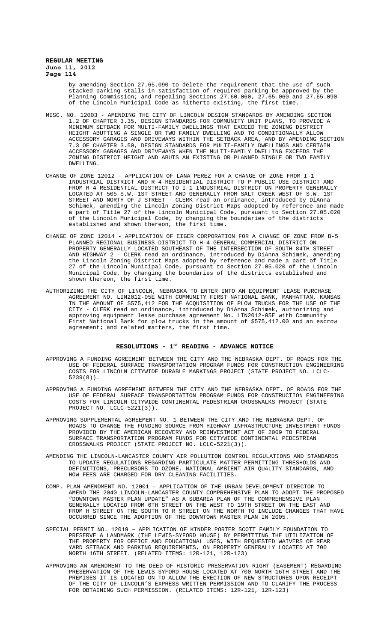> by amending Section 27.65.090 to delete the requirement that the use of such stacked parking stalls in satisfaction of required parking be approved by the Planning Commission; and repealing Sections 27.60.060, 27.65.060 and 27.65.090 of the Lincoln Municipal Code as hitherto existing, the first time.

- MISC. NO. 12003 AMENDING THE CITY OF LINCOLN DESIGN STANDARDS BY AMENDING SECTION 1.2 OF CHAPTER 3.35, DESIGN STANDARDS FOR COMMUNITY UNIT PLANS, TO PROVIDE A MINIMUM SETBACK FOR MULTI-FAMILY DWELLINGS THAT EXCEED THE ZONING DISTRICT HEIGHT ABUTTING A SINGLE OR TWO FAMILY DWELLING AND TO CONDITIONALLY ALLOW ACCESSORY GARAGES AND DRIVEWAYS WITHIN THE SETBACK AREA, AND BY AMENDING SECTION 7.3 OF CHAPTER 3.50, DESIGN STANDARDS FOR MULTI-FAMILY DWELLINGS AND CERTAIN ACCESSORY GARAGES AND DRIVEWAYS WHEN THE MULTI-FAMILY DWELLING EXCEEDS THE ZONING DISTRICT HEIGHT AND ABUTS AN EXISTING OR PLANNED SINGLE OR TWO FAMILY DWELLING.
- CHANGE OF ZONE 12012 APPLICATION OF LANA PEREZ FOR A CHANGE OF ZONE FROM I-1 INDUSTRIAL DISTRICT AND R-4 RESIDENTIAL DISTRICT TO P PUBLIC USE DISTRICT AND FROM R-4 RESIDENTIAL DISTRICT TO I-1 INDUSTRIAL DISTRICT ON PROPERTY GENERALLY LOCATED AT 505 S.W. 1ST STREET AND GENERALLY FROM SALT CREEK WEST OF S.W. 1ST STREET AND NORTH OF J STREET - CLERK read an ordinance, introduced by DiAnna Schimek, amending the Lincoln Zoning District Maps adopted by reference and made a part of Title 27 of the Lincoln Municipal Code, pursuant to Section 27.05.020 of the Lincoln Municipal Code, by changing the boundaries of the districts established and shown thereon, the first time.
- CHANGE OF ZONE 12014 APPLICATION OF EIGER CORPORATION FOR A CHANGE OF ZONE FROM B-5 PLANNED REGIONAL BUSINESS DISTRICT TO H-4 GENERAL COMMERCIAL DISTRICT ON PROPERTY GENERALLY LOCATED SOUTHEAST OF THE INTERSECTION OF SOUTH 84TH STREET AND HIGHWAY 2 - CLERK read an ordinance, introduced by DiAnna Schimek, amending the Lincoln Zoning District Maps adopted by reference and made a part of Title 27 of the Lincoln Municipal Code, pursuant to Section 27.05.020 of the Lincoln Municipal Code, by changing the boundaries of the districts established and shown thereon, the first time.
- AUTHORIZING THE CITY OF LINCOLN, NEBRASKA TO ENTER INTO AN EQUIPMENT LEASE PURCHASE AGREEMENT NO. LIN2012-05E WITH COMMUNITY FIRST NATIONAL BANK, MANHATTAN, KANSAS IN THE AMOUNT OF \$575,412 FOR THE ACQUISITION OF PLOW TRUCKS FOR THE USE OF THE CITY - CLERK read an ordinance, introduced by DiAnna Schimek, authorizing and approving equipment lease purchase agreement No. LIN2012-05E with Community First National Bank for plow trucks in the amount of \$575,412.00 and an escrow agreement; and related matters, the first time.

### RESOLUTIONS - 1<sup>st</sup> READING - ADVANCE NOTICE

- APPROVING A FUNDING AGREEMENT BETWEEN THE CITY AND THE NEBRASKA DEPT. OF ROADS FOR THE USE OF FEDERAL SURFACE TRANSPORTATION PROGRAM FUNDS FOR CONSTRUCTION ENGINEERING COSTS FOR LINCOLN CITYWIDE DURABLE MARKINGS PROJECT (STATE PROJECT NO. LCLC-5239(8)).
- APPROVING A FUNDING AGREEMENT BETWEEN THE CITY AND THE NEBRASKA DEPT. OF ROADS FOR THE USE OF FEDERAL SURFACE TRANSPORTATION PROGRAM FUNDS FOR CONSTRUCTION ENGINEERING COSTS FOR LINCOLN CITYWIDE CONTINENTAL PEDESTRIAN CROSSWALKS PROJECT (STATE PROJECT NO. LCLC-5221(3)).
- APPROVING SUPPLEMENTAL AGREEMENT NO. 1 BETWEEN THE CITY AND THE NEBRASKA DEPT. OF ROADS TO CHANGE THE FUNDING SOURCE FROM HIGHWAY INFRASTRUCTURE INVESTMENT FUNDS PROVIDED BY THE AMERICAN RECOVERY AND REINVESTMENT ACT OF 2009 TO FEDERAL SURFACE TRANSPORTATION PROGRAM FUNDS FOR CITYWIDE CONTINENTAL PEDESTRIAN CROSSWALKS PROJECT (STATE PROJECT NO. LCLC-5221(3)).
- AMENDING THE LINCOLN-LANCASTER COUNTY AIR POLLUTION CONTROL REGULATIONS AND STANDARDS TO UPDATE REGULATIONS REGARDING PARTICULATE MATTER PERMITTING THRESHOLDS AND DEFINITIONS, PRECURSORS TO OZONE, NATIONAL AMBIENT AIR QUALITY STANDARDS, AND HOW FEES ARE CHARGED FOR DRY CLEANING FACILITIES.
- COMP. PLAN AMENDMENT NO. 12001 APPLICATION OF THE URBAN DEVELOPMENT DIRECTOR TO AMEND THE 2040 LINCOLN-LANCASTER COUNTY COMPREHENSIVE PLAN TO ADOPT THE PROPOSED "DOWNTOWN MASTER PLAN UPDATE" AS A SUBAREA PLAN OF THE COMPREHENSIVE PLAN GENERALLY LOCATED FROM 6TH STREET ON THE WEST TO 19TH STREET ON THE EAST AND FROM H STREET ON THE SOUTH TO R STREET ON THE NORTH TO INCLUDE CHANGES THAT HAVE OCCURRED SINCE THE ADOPTION OF THE DOWNTOWN MASTER PLAN IN 2005.
- SPECIAL PERMIT NO. 12019 APPLICATION OF KINDER PORTER SCOTT FAMILY FOUNDATION TO PRESERVE A LANDMARK (THE LEWIS-SYFORD HOUSE) BY PERMITTING THE UTILIZATION OF THE PROPERTY FOR OFFICE AND EDUCATIONAL USES, WITH REQUESTED WAIVERS OF REAR YARD SETBACK AND PARKING REQUIREMENTS, ON PROPERTY GENERALLY LOCATED AT 700 NORTH 16TH STREET. (RELATED ITEMS: 12R-121, 12R-123)
- APPROVING AN AMENDMENT TO THE DEED OF HISTORIC PRESERVATION RIGHT (EASEMENT) REGARDING PRESERVATION OF THE LEWIS SYFORD HOUSE LOCATED AT 700 NORTH 16TH STREET AND THE PREMISES IT IS LOCATED ON TO ALLOW THE ERECTION OF NEW STRUCTURES UPON RECEIPT OF THE CITY OF LINCOLN'S EXPRESS WRITTEN PERMISSION AND TO CLARIFY THE PROCESS FOR OBTAINING SUCH PERMISSION. (RELATED ITEMS: 12R-121, 12R-123)